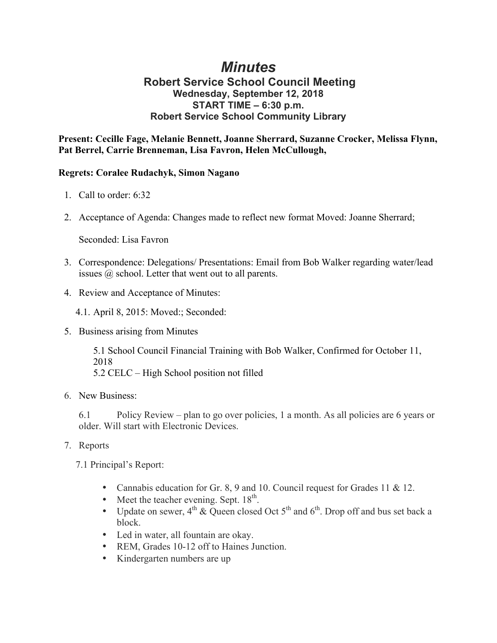## *Minutes*

## **Robert Service School Council Meeting Wednesday, September 12, 2018 START TIME – 6:30 p.m. Robert Service School Community Library**

**Present: Cecille Fage, Melanie Bennett, Joanne Sherrard, Suzanne Crocker, Melissa Flynn, Pat Berrel, Carrie Brenneman, Lisa Favron, Helen McCullough,** 

## **Regrets: Coralee Rudachyk, Simon Nagano**

- 1. Call to order: 6:32
- 2. Acceptance of Agenda: Changes made to reflect new format Moved: Joanne Sherrard;

Seconded: Lisa Favron

- 3. Correspondence: Delegations/ Presentations: Email from Bob Walker regarding water/lead issues @ school. Letter that went out to all parents.
- 4. Review and Acceptance of Minutes:

4.1. April 8, 2015: Moved:; Seconded:

5. Business arising from Minutes

5.1 School Council Financial Training with Bob Walker, Confirmed for October 11, 2018 5.2 CELC – High School position not filled

6. New Business:

6.1 Policy Review – plan to go over policies, 1 a month. As all policies are 6 years or older. Will start with Electronic Devices.

7. Reports

7.1 Principal's Report:

- Cannabis education for Gr. 8, 9 and 10. Council request for Grades 11 & 12.
- Meet the teacher evening. Sept.  $18^{th}$ .
- Update on sewer,  $4^{th}$  & Queen closed Oct  $5^{th}$  and  $6^{th}$ . Drop off and bus set back a block.
- Led in water, all fountain are okay.
- REM, Grades 10-12 off to Haines Junction.
- Kindergarten numbers are up